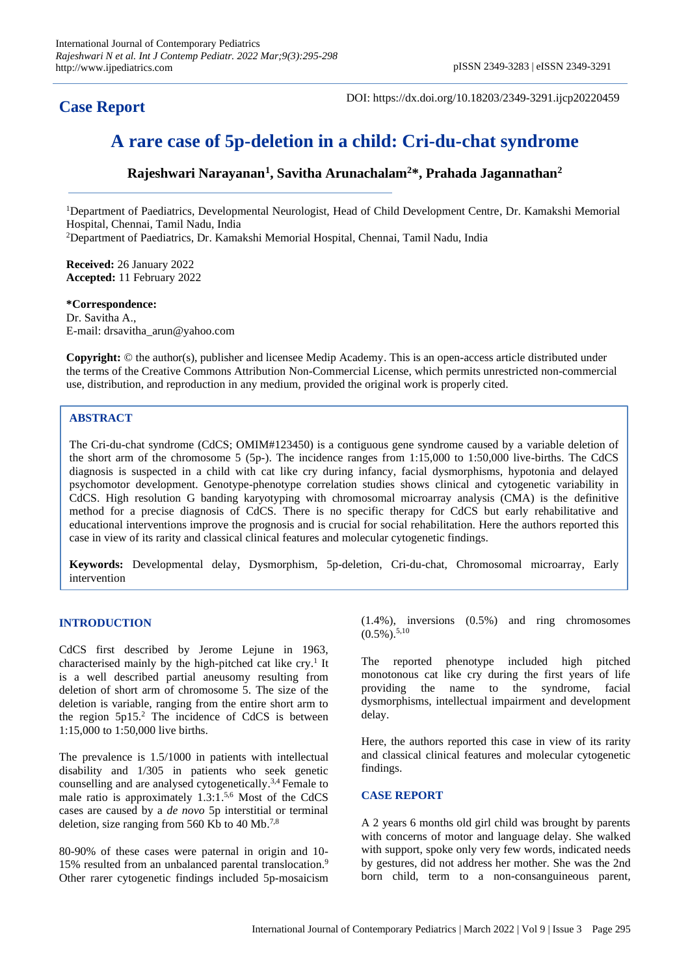# **Case Report**

DOI: https://dx.doi.org/10.18203/2349-3291.ijcp20220459

# **A rare case of 5p-deletion in a child: Cri-du-chat syndrome**

# **Rajeshwari Narayanan<sup>1</sup> , Savitha Arunachalam<sup>2</sup>\*, Prahada Jagannathan<sup>2</sup>**

<sup>1</sup>Department of Paediatrics, Developmental Neurologist, Head of Child Development Centre, Dr. Kamakshi Memorial Hospital, Chennai, Tamil Nadu, India

<sup>2</sup>Department of Paediatrics, Dr. Kamakshi Memorial Hospital, Chennai, Tamil Nadu, India

**Received:** 26 January 2022 **Accepted:** 11 February 2022

#### **\*Correspondence:**

Dr. Savitha A., E-mail: drsavitha\_arun@yahoo.com

**Copyright:** © the author(s), publisher and licensee Medip Academy. This is an open-access article distributed under the terms of the Creative Commons Attribution Non-Commercial License, which permits unrestricted non-commercial use, distribution, and reproduction in any medium, provided the original work is properly cited.

# **ABSTRACT**

The Cri-du-chat syndrome (CdCS; OMIM#123450) is a contiguous gene syndrome caused by a variable deletion of the short arm of the chromosome 5 (5p-). The incidence ranges from 1:15,000 to 1:50,000 live-births. The CdCS diagnosis is suspected in a child with cat like cry during infancy, facial dysmorphisms, hypotonia and delayed psychomotor development. Genotype-phenotype correlation studies shows clinical and cytogenetic variability in CdCS. High resolution G banding karyotyping with chromosomal microarray analysis (CMA) is the definitive method for a precise diagnosis of CdCS. There is no specific therapy for CdCS but early rehabilitative and educational interventions improve the prognosis and is crucial for social rehabilitation. Here the authors reported this case in view of its rarity and classical clinical features and molecular cytogenetic findings.

**Keywords:** Developmental delay, Dysmorphism, 5p-deletion, Cri-du-chat, Chromosomal microarray, Early intervention

# **INTRODUCTION**

CdCS first described by Jerome Lejune in 1963, characterised mainly by the high-pitched cat like cry.<sup>1</sup> It is a well described partial aneusomy resulting from deletion of short arm of chromosome 5. The size of the deletion is variable, ranging from the entire short arm to the region  $5p15<sup>2</sup>$ . The incidence of CdCS is between 1:15,000 to 1:50,000 live births.

The prevalence is 1.5/1000 in patients with intellectual disability and 1/305 in patients who seek genetic counselling and are analysed cytogenetically. 3,4 Female to male ratio is approximately 1.3:1. 5,6 Most of the CdCS cases are caused by a *de novo* 5p interstitial or terminal deletion, size ranging from 560 Kb to 40 Mb.<sup>7,8</sup>

80-90% of these cases were paternal in origin and 10- 15% resulted from an unbalanced parental translocation. 9 Other rarer cytogenetic findings included 5p-mosaicism (1.4%), inversions (0.5%) and ring chromosomes  $(0.5\%)$ . 5,10

The reported phenotype included high pitched monotonous cat like cry during the first years of life providing the name to the syndrome, facial dysmorphisms, intellectual impairment and development delay.

Here, the authors reported this case in view of its rarity and classical clinical features and molecular cytogenetic findings.

#### **CASE REPORT**

A 2 years 6 months old girl child was brought by parents with concerns of motor and language delay. She walked with support, spoke only very few words, indicated needs by gestures, did not address her mother. She was the 2nd born child, term to a non-consanguineous parent,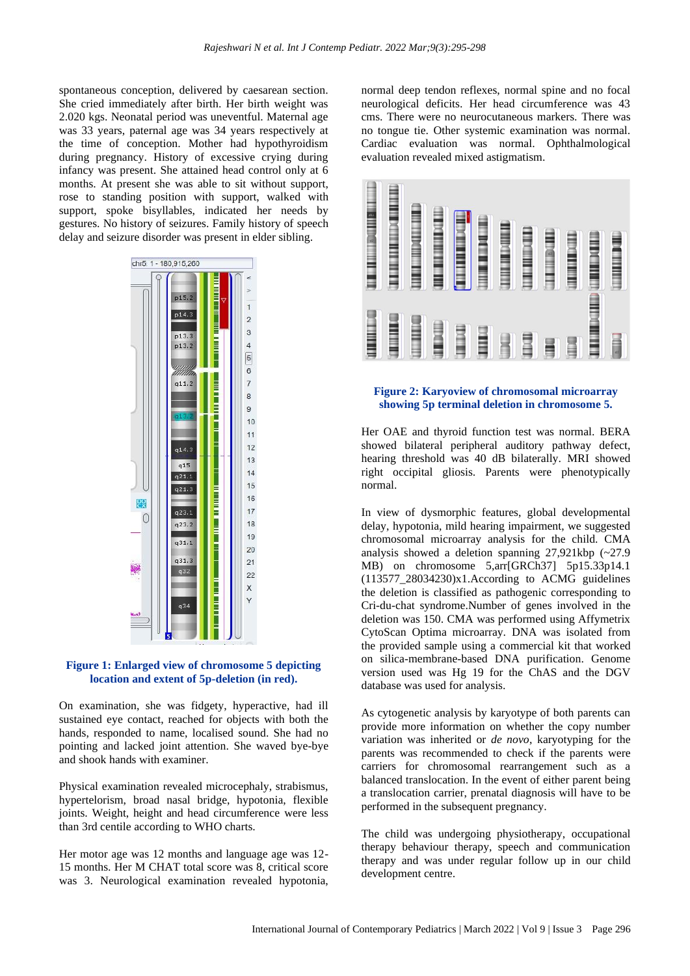spontaneous conception, delivered by caesarean section. She cried immediately after birth. Her birth weight was 2.020 kgs. Neonatal period was uneventful. Maternal age was 33 years, paternal age was 34 years respectively at the time of conception. Mother had hypothyroidism during pregnancy. History of excessive crying during infancy was present. She attained head control only at 6 months. At present she was able to sit without support, rose to standing position with support, walked with support, spoke bisyllables, indicated her needs by gestures. No history of seizures. Family history of speech delay and seizure disorder was present in elder sibling.



# **Figure 1: Enlarged view of chromosome 5 depicting location and extent of 5p-deletion (in red).**

On examination, she was fidgety, hyperactive, had ill sustained eye contact, reached for objects with both the hands, responded to name, localised sound. She had no pointing and lacked joint attention. She waved bye-bye and shook hands with examiner.

Physical examination revealed microcephaly, strabismus, hypertelorism, broad nasal bridge, hypotonia, flexible joints. Weight, height and head circumference were less than 3rd centile according to WHO charts.

Her motor age was 12 months and language age was 12- 15 months. Her M CHAT total score was 8, critical score was 3. Neurological examination revealed hypotonia, normal deep tendon reflexes, normal spine and no focal neurological deficits. Her head circumference was 43 cms. There were no neurocutaneous markers. There was no tongue tie. Other systemic examination was normal. Cardiac evaluation was normal. Ophthalmological evaluation revealed mixed astigmatism.



#### **Figure 2: Karyoview of chromosomal microarray showing 5p terminal deletion in chromosome 5.**

Her OAE and thyroid function test was normal. BERA showed bilateral peripheral auditory pathway defect, hearing threshold was 40 dB bilaterally. MRI showed right occipital gliosis. Parents were phenotypically normal.

In view of dysmorphic features, global developmental delay, hypotonia, mild hearing impairment, we suggested chromosomal microarray analysis for the child. CMA analysis showed a deletion spanning 27,921kbp (~27.9 MB) on chromosome 5,arr[GRCh37] 5p15.33p14.1  $(113577 \quad 28034230)x1$ . According to ACMG guidelines the deletion is classified as pathogenic corresponding to Cri-du-chat syndrome.Number of genes involved in the deletion was 150. CMA was performed using Affymetrix CytoScan Optima microarray. DNA was isolated from the provided sample using a commercial kit that worked on silica-membrane-based DNA purification. Genome version used was Hg 19 for the ChAS and the DGV database was used for analysis.

As cytogenetic analysis by karyotype of both parents can provide more information on whether the copy number variation was inherited or *de novo*, karyotyping for the parents was recommended to check if the parents were carriers for chromosomal rearrangement such as a balanced translocation. In the event of either parent being a translocation carrier, prenatal diagnosis will have to be performed in the subsequent pregnancy.

The child was undergoing physiotherapy, occupational therapy behaviour therapy, speech and communication therapy and was under regular follow up in our child development centre.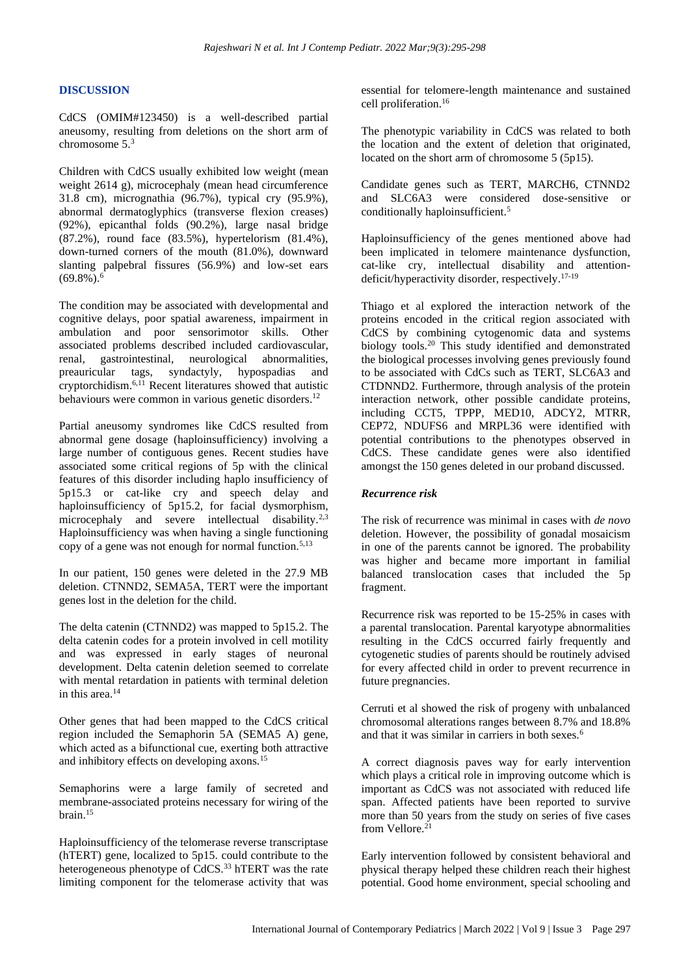## **DISCUSSION**

CdCS (OMIM#123450) is a well-described partial aneusomy, resulting from deletions on the short arm of chromosome 5.<sup>3</sup>

Children with CdCS usually exhibited low weight (mean weight 2614 g), microcephaly (mean head circumference 31.8 cm), micrognathia (96.7%), typical cry (95.9%), abnormal dermatoglyphics (transverse flexion creases) (92%), epicanthal folds (90.2%), large nasal bridge (87.2%), round face (83.5%), hypertelorism (81.4%), down-turned corners of the mouth (81.0%), downward slanting palpebral fissures (56.9%) and low-set ears  $(69.8\%)$ <sup>6</sup>

The condition may be associated with developmental and cognitive delays, poor spatial awareness, impairment in ambulation and poor sensorimotor skills. Other associated problems described included cardiovascular, renal, gastrointestinal, neurological abnormalities, preauricular tags, syndactyly, hypospadias and cryptorchidism. 6,11 Recent literatures showed that autistic behaviours were common in various genetic disorders.<sup>12</sup>

Partial aneusomy syndromes like CdCS resulted from abnormal gene dosage (haploinsufficiency) involving a large number of contiguous genes. Recent studies have associated some critical regions of 5p with the clinical features of this disorder including haplo insufficiency of 5p15.3 or cat-like cry and speech delay and haploinsufficiency of 5p15.2, for facial dysmorphism, microcephaly and severe intellectual disability.<sup>2,3</sup> Haploinsufficiency was when having a single functioning copy of a gene was not enough for normal function.<sup>5,13</sup>

In our patient, 150 genes were deleted in the 27.9 MB deletion. CTNND2, SEMA5A, TERT were the important genes lost in the deletion for the child.

The delta catenin (CTNND2) was mapped to 5p15.2. The delta catenin codes for a protein involved in cell motility and was expressed in early stages of neuronal development. Delta catenin deletion seemed to correlate with mental retardation in patients with terminal deletion in this area.<sup>14</sup>

Other genes that had been mapped to the CdCS critical region included the Semaphorin 5A (SEMA5 A) gene, which acted as a bifunctional cue, exerting both attractive and inhibitory effects on developing axons.<sup>15</sup>

Semaphorins were a large family of secreted and membrane-associated proteins necessary for wiring of the brain.<sup>15</sup>

Haploinsufficiency of the telomerase reverse transcriptase (hTERT) gene, localized to 5p15. could contribute to the heterogeneous phenotype of CdCS.<sup>33</sup> hTERT was the rate limiting component for the telomerase activity that was essential for telomere-length maintenance and sustained cell proliferation. 16

The phenotypic variability in CdCS was related to both the location and the extent of deletion that originated, located on the short arm of chromosome 5 (5p15).

Candidate genes such as TERT, MARCH6, CTNND2 and SLC6A3 were considered dose-sensitive or conditionally haploinsufficient. 5

Haploinsufficiency of the genes mentioned above had been implicated in telomere maintenance dysfunction, cat-like cry, intellectual disability and attentiondeficit/hyperactivity disorder, respectively. 17-19

Thiago et al explored the interaction network of the proteins encoded in the critical region associated with CdCS by combining cytogenomic data and systems biology tools.<sup>20</sup> This study identified and demonstrated the biological processes involving genes previously found to be associated with CdCs such as TERT, SLC6A3 and CTDNND2. Furthermore, through analysis of the protein interaction network, other possible candidate proteins, including CCT5, TPPP, MED10, ADCY2, MTRR, CEP72, NDUFS6 and MRPL36 were identified with potential contributions to the phenotypes observed in CdCS. These candidate genes were also identified amongst the 150 genes deleted in our proband discussed.

#### *Recurrence risk*

The risk of recurrence was minimal in cases with *de novo* deletion. However, the possibility of gonadal mosaicism in one of the parents cannot be ignored. The probability was higher and became more important in familial balanced translocation cases that included the 5p fragment.

Recurrence risk was reported to be 15-25% in cases with a parental translocation. Parental karyotype abnormalities resulting in the CdCS occurred fairly frequently and cytogenetic studies of parents should be routinely advised for every affected child in order to prevent recurrence in future pregnancies.

Cerruti et al showed the risk of progeny with unbalanced chromosomal alterations ranges between 8.7% and 18.8% and that it was similar in carriers in both sexes.<sup>6</sup>

A correct diagnosis paves way for early intervention which plays a critical role in improving outcome which is important as CdCS was not associated with reduced life span. Affected patients have been reported to survive more than 50 years from the study on series of five cases from Vellore. $^{21}$ 

Early intervention followed by consistent behavioral and physical therapy helped these children reach their highest potential. Good home environment, special schooling and